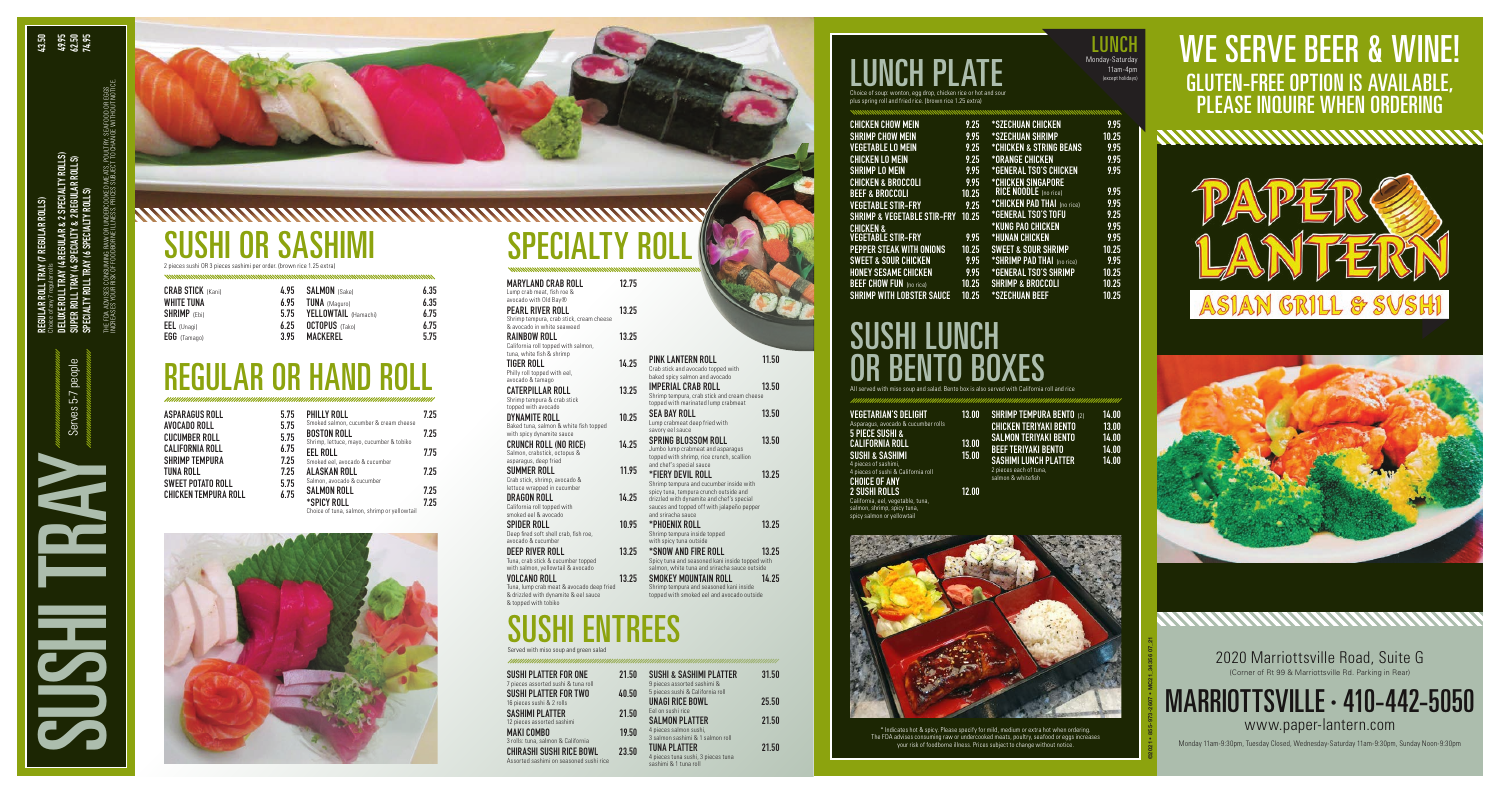2020 Marriottsville Road, Suite G (Corner of Rt 99 & Marriottsville Rd. Parking in Rear)

MARRIOTTSVILLE · 410-442-5050 www.paper-lantern.com

#### **LUNCH PLA** Choice of soup: wonton, egg drop, chicken rice or hot and sour

Monday 11am-9:30pm, Tuesday Closed, Wednesday-Saturday 11am-9:30pm, Sunday Noon-9:30pm

plus spring roll and fried rice. (brown rice 1.25 extra)

| <b>CHICKEN CHOW MEIN</b>         | 9.25  | <i><b>*SZECHUAN CHICKEN</b></i>      | 9.95  |
|----------------------------------|-------|--------------------------------------|-------|
| <b>SHRIMP CHOW MEIN</b>          | 9.95  | *SZECHUAN SHRIMP                     | 10.25 |
| <b>VEGETABLE LO MEIN</b>         | 9.25  | *CHICKEN & STRING BEANS              | 9.95  |
| <b>CHICKEN LO MEIN</b>           | 9.25  | <i><b>*ORANGE CHICKEN</b></i>        | 9.95  |
| <b>SHRIMP LO MEIN</b>            | 9.95  | <i><b>*General TSO'S CHICKEN</b></i> | 9.95  |
| <b>CHICKEN &amp; BROCCOLI</b>    | 9.95  | *CHICKEN SINGAPORE                   |       |
| <b>BEEF &amp; BROCCOLI</b>       | 10.25 | <b>RICE NOODLE</b> (no rice)         | 9.95  |
| <b>VEGETABLE STIR-FRY</b>        | 9.25  | *CHICKEN PAD THAI (no rice)          | 9.95  |
| SHRIMP & VEGETABLE STIR-FRY      | 10.25 | <i><b>*GENERAL TSO'S TOFU</b></i>    | 9.25  |
| <b>CHICKEN &amp;</b>             |       | <i><b>*KUNG PAO CHICKEN</b></i>      | 9.95  |
| <b>VEGETABLE STIR-FRY</b>        | 9.95  | *HUNAN CHICKEN                       | 9.95  |
| PEPPER STEAK WITH ONIONS         | 10.25 | <b>SWEET &amp; SOUR SHRIMP</b>       | 10.25 |
| <b>SWEET &amp; SOUR CHICKEN</b>  | 9.95  | *SHRIMP PAD THAI (no rice)           | 9.95  |
| <b>HONEY SESAME CHICKEN</b>      | 9.95  | <i><b>*GENERAL TSO'S SHRIMP</b></i>  | 10.25 |
| <b>BEEF CHOW FUN</b> (no rice)   | 10.25 | <b>SHRIMP &amp; BROCCOLI</b>         | 10.25 |
| <b>SHRIMP WITH LOBSTER SAUCE</b> | 10.25 | *SZECHUAN BEEF                       | 10.25 |
|                                  |       |                                      |       |

LUNCH

### SUSHI LUNCH OR BENTO BOXES

All served with miso soup and salad. Bento box is also served with California roll and rice

#### **OR SASHIMI** 2 pieces sushi OR 3 pieces sashimi per order. (brown rice 1.25 extra)

| VEGETARIAN'S DELIGHT                    | 13.00 | <b>SHRIMP TEMPURA BENTO</b> (2) | 14.00 |
|-----------------------------------------|-------|---------------------------------|-------|
| Asparagus, avocado & cucumber rolls     |       | CHICKEN TERIYAKI BENTO          | 13.00 |
| 5 PIECE SUSHI &                         |       | <b>SALMON TERIYAKI BENTO</b>    | 14.00 |
| CALIFORNIA ROLL                         | 13.00 | <b>BEEF TERIYAKI BENTO</b>      | 14.00 |
| SUSHI & SASHIMI<br>4 pieces of sashimi, | 15.00 | <b>SASHIMI LUNCH PLATTER</b>    | 14.00 |
| 4 pieces of sushi & California roll     |       | 2 pieces each of tuna,          |       |
| CHOICE OF ANY                           |       | salmon & whitefish              |       |
| 9 CIICUI DAI I C                        | 12 NN |                                 |       |

2 SUSHI ROLLS 12.00 California, eel, vegetable, tuna, salmon, shrimp, spicy tuna, spicy salmon or yellowtail



**ENTREES** Served with miso soup and green salad

> \* Indicates hot & spicy. Please specify for mild, medium or extra hot when ordering. The FDA advises consuming raw or undercooked meats, poultry, seafood or eggs increases your risk of foodborne illness. Prices subject to change without notice.

| 4.95 |
|------|
| 6.95 |
| 5.75 |
| 6.25 |
| 3.95 |
|      |

| 4.95 | <b>SALMON</b> (Sake)  | 6.35 |
|------|-----------------------|------|
| 6.95 | <b>TUNA</b> (Maguro)  | 6.35 |
| 5 75 | YELLOWTAIL (Hamachi)  | 6.75 |
| 6.25 | <b>OCTOPUS</b> (Tako) | 6.75 |
| 395  | <b>MACKEREL</b>       | 575  |

| <b>ASPARAGUS ROLL</b>       | 5.75 |
|-----------------------------|------|
| AVOCADO ROLL                | 5.75 |
| <b>CUCUMBER ROLL</b>        | 5.75 |
| <b>CALIFORNIA ROLL</b>      | 6.75 |
| <b>SHRIMP TEMPURA</b>       | 7.25 |
| <b>TUNA ROLL</b>            | 7.25 |
| <b>SWEET POTATO ROLL</b>    | 5.75 |
| <b>CHICKEN TEMPURA ROLL</b> | 6 75 |
|                             |      |

| 5             | <b>PHILLY ROLL</b>                                           | 7.25 |
|---------------|--------------------------------------------------------------|------|
| 5             | Smoked salmon, cucumber & cream cheese<br><b>BOSTON ROLL</b> | 7.25 |
| '5<br>'5<br>5 | Shrimp, lettuce, mayo, cucumber & tobiko<br>EEL ROLL         | 7.75 |
| 5             | Smoked eel, avocado & cucumber<br>ALASKAN ROLL               | 7.25 |
| 5<br>5        | Salmon, avocado & cucumber<br>SALMON ROLL                    | 7.25 |
|               | *SPICY ROLL<br>Choice of tuna, salmon, shrimp or yellowtail  | 7.25 |



# SPECIALTY R

### REGULAR OR HAND ROLL

CIALTY ROLLS)<br>JULAR ROLLS)

AR & 2 S<br>LTY & 2 F<br>CIALTY I

| <b>SUSHI PLATTER FOR ONE</b><br>7 pieces assorted sushi & tuna roll        | 21.50 | <b>SUSHI &amp; SASHIMI PLATTER</b><br>9 pieces assorted sashimi &                  | 31.50 |
|----------------------------------------------------------------------------|-------|------------------------------------------------------------------------------------|-------|
| <b>SUSHI PLATTER FOR TWO</b><br>16 pieces sushi & 2 rolls                  | 40.50 | 5 pieces sushi & California roll<br><b>UNAGI RICE BOWL</b>                         | 25.50 |
| <b>SASHIMI PLATTER</b><br>12 pieces assorted sashimi                       | 21.50 | Eel on sushi rice<br><b>SALMON PLATTER</b>                                         | 21.50 |
| <b>MAKI COMBO</b><br>3 rolls: tuna, salmon & California                    | 19.50 | 4 pieces salmon sushi,<br>3 salmon sashimi & 1 salmon roll                         |       |
| <b>CHIRASHI SUSHI RICE BOWL</b><br>Assorted sashimi on seasoned sushi rice | 23.50 | <b>TUNA PLATTER</b><br>4 pieces tuna sushi, 3 pieces tuna<br>sashimi & 1 tuna roll | 21.50 |

| <b>MARYLAND CRAB ROLL</b><br>Lump crab meat, fish roe &                                     | 12 75 |
|---------------------------------------------------------------------------------------------|-------|
| avocado with Old Bay®<br>PEARL RIVER ROLL<br>Shrimp tempura, crab stick, cream cheese       | 13 25 |
| & avocado in white seaweed<br>RAINBOW ROLL<br>California roll topped with salmon,           | 13.25 |
| tuna, white fish & shrimp<br>TIGER ROLL<br>Philly roll topped with eel,<br>avocado & tamago | 14 25 |
| <b>CATERPILLAR ROLL</b><br>Shrimp tempura & crab stick<br>topped with avocado               | 13 25 |
| DYNAMITE ROLL<br>Baked tuna, salmon & white fish topped<br>with spicy dynamite sauce        | 10.25 |
| CRUNCH ROLL (NO RICE)<br>Salmon, crabstick, octopus &<br>asparagus, deep fried              | 14 25 |
| SUMMER ROLL<br>Crab stick, shrimp, avocado &<br>lettuce wrapped in cucumber                 | 1195  |
| DRAGON ROLL<br>California roll topped with<br>smoked eel & avocado                          | 14.25 |
| SPIDER ROLL<br>Deep fired soft shell crab, fish roe,<br>avocado & cucumber                  | 10.95 |
| DEEP RIVER ROLL<br>Tuna, crab stick & cucumber topped<br>with salmon, yellowtail & avocado  | 13.25 |
| VOLCANO ROLL<br>Tuna, lump crab meat & avocado deep fried                                   | 13 25 |

& drizzled with dynamite & eel sauce

& topped with tobiko

| PINK LANTERN ROLL<br>Crab stick and avocado topped with<br>baked spicy salmon and avocado                                                               | 11.50 |
|---------------------------------------------------------------------------------------------------------------------------------------------------------|-------|
| <b>IMPERIAL CRAB ROLL</b><br>Shrimp tempura, crab stick and cream cheese                                                                                | 13.50 |
| topped with marinated lump crabmeat<br>SEA BAY ROLL<br>Lump crabmeat deep fried with<br>savory eel sauce                                                | 13.50 |
| SPRING BLOSSOM ROLL<br>Jumbo lump crabmeat and asparagus<br>topped with shrimp, rice crunch, scallion                                                   | 13.50 |
| and chef's special sauce<br>*FIERY DEVIL ROLL<br>Shrimp tempura and cucumber inside with                                                                | 13 25 |
| spicy tuna, tempura crunch outside and<br>drizzled with dynamite and chef's special<br>sauces and topped off with jalapeño pepper<br>and sriracha sauce |       |
| *PHOENIX ROLL<br>Shrimp tempura inside topped<br>with spicy tuna outside                                                                                | 13 25 |
| *SNOW AND FIRE ROLL<br>Spicy tuna and seasoned kani inside topped with<br>salmon, white tuna and sriracha sauce outside                                 | 13 25 |
| SMOKEY MOUNTAIN ROLL<br>Shrimp tempura and seasoned kani inside                                                                                         | 14 25 |

topped with smoked eel and avocado outside

11am-4pm (except holidays)

#### WE SERVE BEER & WINE! GLUTEN-FREE OPTION IS AVAILABLE, PLEASE INQUIRE WHEN ORDERING

www.www.www.ww





Choice of any 7 regular rolls

SUSHI TRAY SERVES 5-7 people

**NASSES** 

Serves 5-7 people

THE FDA ADVISES CONSUMING RAW OR UNDERCOOKED MEATS, POULTRY, SEAFOOD OR EGGS INCREASES YOUR RISK OF FOODBORNE ILLNESS. PRICES SUBJECT TO CHANGE WITHOUT NOTICE.

MEATS, POULTRY, SEAFOOD OR<br>SUBJECT TO CHANGE WITHOUT

©2021 • 855-973-2607 • MC21\_34356 07\_21